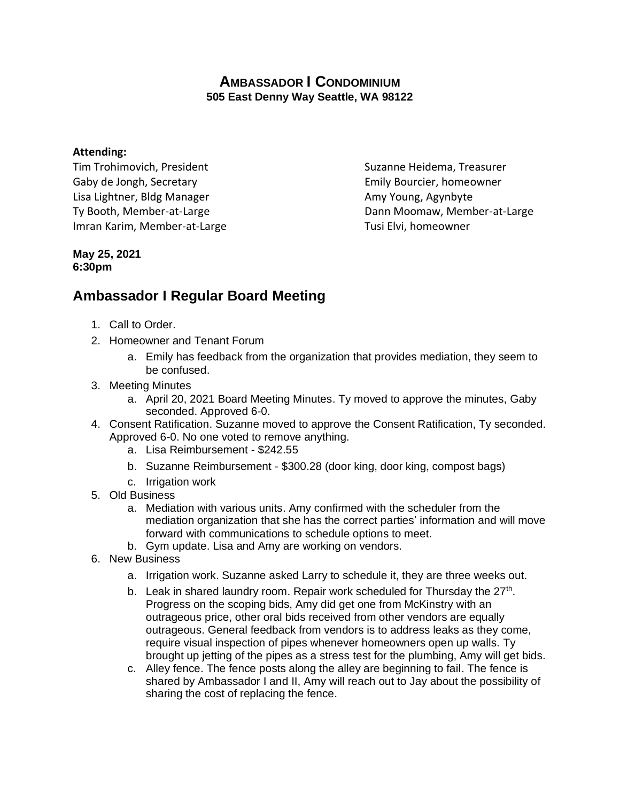## **AMBASSADOR I CONDOMINIUM 505 East Denny Way Seattle, WA 98122**

## **Attending:**

Tim Trohimovich, President Suzanne Heidema, Treasurer Gaby de Jongh, Secretary **Emily Bourcier, homeowner** Emily Bourcier, homeowner Lisa Lightner, Bldg Manager **Amy Young, Agynbyte** Amy Young, Agynbyte Imran Karim, Member-at-Large Tusi Elvi, homeowner

Ty Booth, Member-at-Large Ty Booth, Member-at-Large Dann Moomaw, Member-at-Large

## **May 25, 2021 6:30pm**

## **Ambassador I Regular Board Meeting**

- 1. Call to Order.
- 2. Homeowner and Tenant Forum
	- a. Emily has feedback from the organization that provides mediation, they seem to be confused.
- 3. Meeting Minutes
	- a. April 20, 2021 Board Meeting Minutes. Ty moved to approve the minutes, Gaby seconded. Approved 6-0.
- 4. Consent Ratification. Suzanne moved to approve the Consent Ratification, Ty seconded. Approved 6-0. No one voted to remove anything.
	- a. Lisa Reimbursement \$242.55
	- b. Suzanne Reimbursement \$300.28 (door king, door king, compost bags)
	- c. Irrigation work
- 5. Old Business
	- a. Mediation with various units. Amy confirmed with the scheduler from the mediation organization that she has the correct parties' information and will move forward with communications to schedule options to meet.
	- b. Gym update. Lisa and Amy are working on vendors.
- 6. New Business
	- a. Irrigation work. Suzanne asked Larry to schedule it, they are three weeks out.
	- b. Leak in shared laundry room. Repair work scheduled for Thursday the  $27<sup>th</sup>$ . Progress on the scoping bids, Amy did get one from McKinstry with an outrageous price, other oral bids received from other vendors are equally outrageous. General feedback from vendors is to address leaks as they come, require visual inspection of pipes whenever homeowners open up walls. Ty brought up jetting of the pipes as a stress test for the plumbing, Amy will get bids.
	- c. Alley fence. The fence posts along the alley are beginning to fail. The fence is shared by Ambassador I and II, Amy will reach out to Jay about the possibility of sharing the cost of replacing the fence.